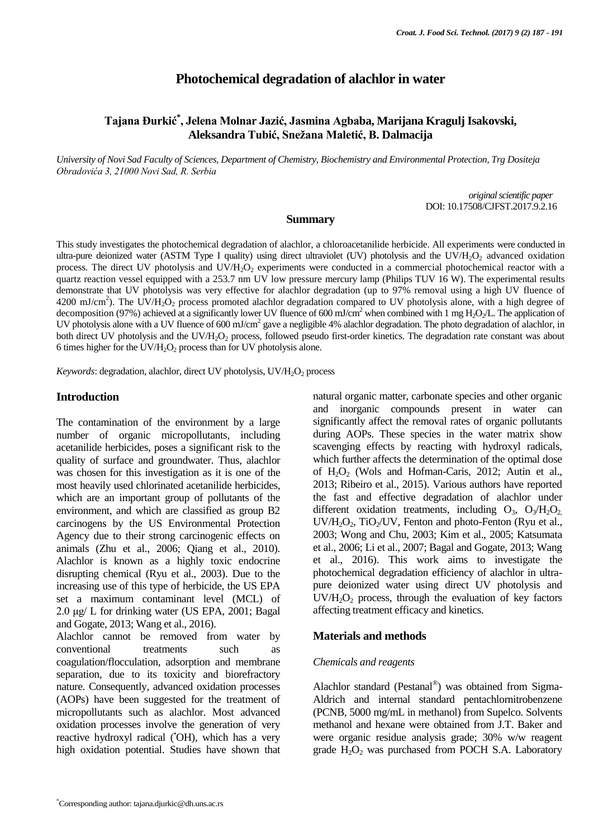# **Photochemical degradation of alachlor in water**

# **Tajana Đurkić\* , Jelena Molnar Jazić, Jasmina Agbaba, Marijana Kragulj Isakovski, Aleksandra Tubić, Snežana Maletić, B. Dalmacija**

*University of Novi Sad Faculty of Sciences, Department of Chemistry, Biochemistry and Environmental Protection, Trg Dositeja Obradovića 3, 21000 Novi Sad, R. Serbia*

> *original scientific paper*  DOI: 10.17508/CJFST.2017.9.2.16

### **Summary**

This study investigates the photochemical degradation of alachlor, a chloroacetanilide herbicide. All experiments were conducted in ultra-pure deionized water (ASTM Type I quality) using direct ultraviolet (UV) photolysis and the UV/H<sub>2</sub>O<sub>2</sub> advanced oxidation process. The direct UV photolysis and UV/H<sub>2</sub>O<sub>2</sub> experiments were conducted in a commercial photochemical reactor with a quartz reaction vessel equipped with a 253.7 nm UV low pressure mercury lamp (Philips TUV 16 W). The experimental results demonstrate that UV photolysis was very effective for alachlor degradation (up to 97% removal using a high UV fluence of 4200 mJ/cm<sup>2</sup>). The UV/H<sub>2</sub>O<sub>2</sub> process promoted alachlor degradation compared to UV photolysis alone, with a high degree of decomposition (97%) achieved at a significantly lower UV fluence of 600 mJ/cm<sup>2</sup> when combined with 1 mg H<sub>2</sub>O<sub>2</sub>/L. The application of UV photolysis alone with a UV fluence of 600 mJ/cm<sup>2</sup> gave a negligible 4% alachlor degradation. The photo degradation of alachlor, in both direct UV photolysis and the UV/H<sub>2</sub>O<sub>2</sub> process, followed pseudo first-order kinetics. The degradation rate constant was about 6 times higher for the UV/ $H_2O_2$  process than for UV photolysis alone.

*Keywords*: degradation, alachlor, direct UV photolysis, UV/H<sub>2</sub>O<sub>2</sub> process

# **Introduction**

The contamination of the environment by a large number of organic micropollutants, including acetanilide herbicides, poses a significant risk to the quality of surface and groundwater. Thus, alachlor was chosen for this investigation as it is one of the most heavily used chlorinated acetanilide herbicides, which are an important group of pollutants of the environment, and which are classified as group B2 carcinogens by the US Environmental Protection Agency due to their strong carcinogenic effects on animals (Zhu et al., 2006; Qiang et al., 2010). Alachlor is known as a highly toxic endocrine disrupting chemical (Ryu et al., 2003). Due to the increasing use of this type of herbicide, the US EPA set a maximum contaminant level (MCL) of 2.0 μg/ L for drinking water (US EPA, 2001; Bagal and Gogate, 2013; Wang et al., 2016).

Alachlor cannot be removed from water by conventional treatments such as coagulation/flocculation, adsorption and membrane separation, due to its toxicity and biorefractory nature. Consequently, advanced oxidation processes (AOPs) have been suggested for the treatment of micropollutants such as alachlor. Most advanced oxidation processes involve the generation of very reactive hydroxyl radical ( $\overline{OH}$ ), which has a very high oxidation potential. Studies have shown that natural organic matter, carbonate species and other organic and inorganic compounds present in water can significantly affect the removal rates of organic pollutants during AOPs. These species in the water matrix show scavenging effects by reacting with hydroxyl radicals, which further affects the determination of the optimal dose of  $H_2O_2$  (Wols and Hofman-Caris, 2012; Autin et al., 2013; Ribeiro et al., 2015). Various authors have reported the fast and effective degradation of alachlor under different oxidation treatments, including  $O_3$ ,  $O_3/H_2O_2$ ,  $UV/H_2O_2$ , TiO<sub>2</sub>/UV, Fenton and photo-Fenton (Ryu et al., 2003; Wong and Chu, 2003; Kim et al., 2005; Katsumata et al., 2006; Li et al., 2007; Bagal and Gogate, 2013; Wang et al., 2016). This work aims to investigate the photochemical degradation efficiency of alachlor in ultrapure deionized water using direct UV photolysis and  $UV/H<sub>2</sub>O<sub>2</sub>$  process, through the evaluation of key factors affecting treatment efficacy and kinetics.

### **Materials and methods**

#### *Chemicals and reagents*

Alachlor standard (Pestanal®) was obtained from Sigma-Aldrich and internal standard pentachlornitrobenzene (PCNB, 5000 mg/mL in methanol) from Supelco. Solvents methanol and hexane were obtained from J.T. Baker and were organic residue analysis grade; 30% w/w reagent grade  $H_2O_2$  was purchased from POCH S.A. Laboratory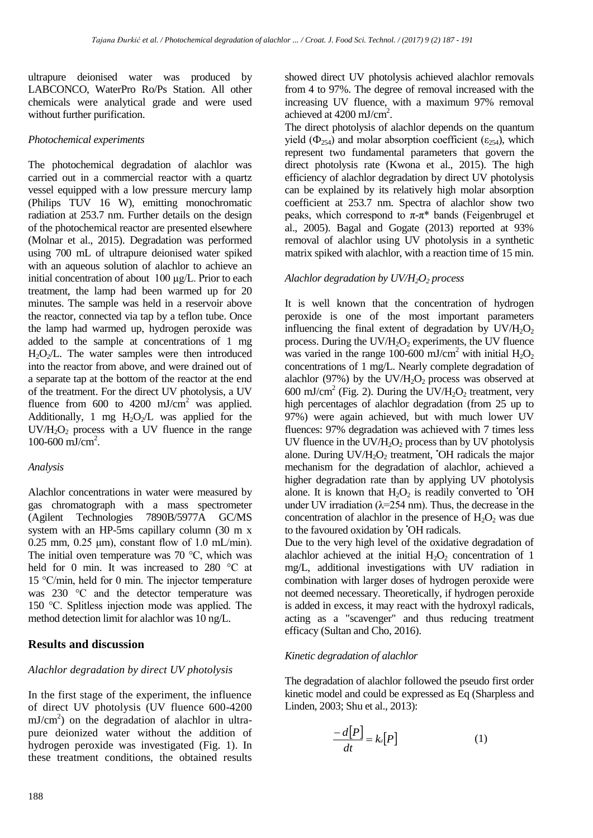ultrapure deionised water was produced by LABCONCO, WaterPro Ro/Ps Station. All other chemicals were analytical grade and were used without further purification.

### *Photochemical experiments*

The photochemical degradation of alachlor was carried out in a commercial reactor with a quartz vessel equipped with a low pressure mercury lamp (Philips TUV 16 W), emitting monochromatic radiation at 253.7 nm. Further details on the design of the photochemical reactor are presented elsewhere (Molnar et al., 2015). Degradation was performed using 700 mL of ultrapure deionised water spiked with an aqueous solution of alachlor to achieve an initial concentration of about 100 µg/L. Prior to each treatment, the lamp had been warmed up for 20 minutes. The sample was held in a reservoir above the reactor, connected via tap by a teflon tube. Once the lamp had warmed up, hydrogen peroxide was added to the sample at concentrations of 1 mg  $H<sub>2</sub>O<sub>2</sub>/L$ . The water samples were then introduced into the reactor from above, and were drained out of a separate tap at the bottom of the reactor at the end of the treatment. For the direct UV photolysis, a UV fluence from 600 to 4200  $mJ/cm<sup>2</sup>$  was applied. Additionally, 1 mg  $H_2O_2/L$  was applied for the  $UV/H<sub>2</sub>O<sub>2</sub>$  process with a UV fluence in the range 100-600 mJ/cm<sup>2</sup>.

# *Analysis*

Alachlor concentrations in water were measured by gas chromatograph with a mass spectrometer (Agilent Technologies 7890B/5977A GC/MS system with an HP-5ms capillary column (30 m x  $0.25$  mm,  $0.25$   $\mu$ m), constant flow of 1.0 mL/min). The initial oven temperature was 70 °C, which was held for 0 min. It was increased to 280 °C at 15 °C/min, held for 0 min. The injector temperature was 230 °C and the detector temperature was 150 °C. Splitless injection mode was applied. The method detection limit for alachlor was 10 ng/L.

# **Results and discussion**

# *Alachlor degradation by direct UV photolysis*

In the first stage of the experiment, the influence of direct UV photolysis (UV fluence 600-4200  $mJ/cm<sup>2</sup>$ ) on the degradation of alachlor in ultrapure deionized water without the addition of hydrogen peroxide was investigated (Fig. 1). In these treatment conditions, the obtained results showed direct UV photolysis achieved alachlor removals from 4 to 97%. The degree of removal increased with the increasing UV fluence, with a maximum 97% removal achieved at  $4200 \text{ mJ/cm}^2$ .

The direct photolysis of alachlor depends on the quantum yield ( $\Phi_{254}$ ) and molar absorption coefficient ( $\varepsilon_{254}$ ), which represent two fundamental parameters that govern the direct photolysis rate (Kwona et al., 2015). The high efficiency of alachlor degradation by direct UV photolysis can be explained by its relatively high molar absorption coefficient at 253.7 nm. Spectra of alachlor show two peaks, which correspond to  $π$ -π<sup>\*</sup> bands (Feigenbrugel et al., 2005). Bagal and Gogate (2013) reported at 93% removal of alachlor using UV photolysis in a synthetic matrix spiked with alachlor, with a reaction time of 15 min.

# *Alachlor degradation by UV/H2O<sup>2</sup> process*

It is well known that the concentration of hydrogen peroxide is one of the most important parameters influencing the final extent of degradation by  $UV/H_2O_2$ process. During the  $UV/H_2O_2$  experiments, the UV fluence was varied in the range 100-600 mJ/cm<sup>2</sup> with initial  $H_2O_2$ concentrations of 1 mg/L. Nearly complete degradation of alachlor (97%) by the UV/H<sub>2</sub>O<sub>2</sub> process was observed at 600 mJ/cm<sup>2</sup> (Fig. 2). During the  $UV/H_2O_2$  treatment, very high percentages of alachlor degradation (from 25 up to 97%) were again achieved, but with much lower UV fluences: 97% degradation was achieved with 7 times less UV fluence in the UV/ $H_2O_2$  process than by UV photolysis alone. During  $UV/H<sub>2</sub>O<sub>2</sub>$  treatment, 'OH radicals the major mechanism for the degradation of alachlor, achieved a higher degradation rate than by applying UV photolysis alone. It is known that  $H_2O_2$  is readily converted to  $\overline{O}H$ under UV irradiation ( $\lambda$ =254 nm). Thus, the decrease in the concentration of alachlor in the presence of  $H_2O_2$  was due to the favoured oxidation by **OH** radicals.

Due to the very high level of the oxidative degradation of alachlor achieved at the initial  $H_2O_2$  concentration of 1 mg/L, additional investigations with UV radiation in combination with larger doses of hydrogen peroxide were not deemed necessary. Theoretically, if hydrogen peroxide is added in excess, it may react with the hydroxyl radicals, acting as a "scavenger" and thus reducing treatment efficacy (Sultan and Cho, 2016).

# *Kinetic degradation of alachlor*

The degradation of alachlor followed the pseudo first order kinetic model and could be expressed as Eq (Sharpless and Linden, 2003; Shu et al., 2013):

$$
\frac{-d[P]}{dt} = k_{d}[P] \tag{1}
$$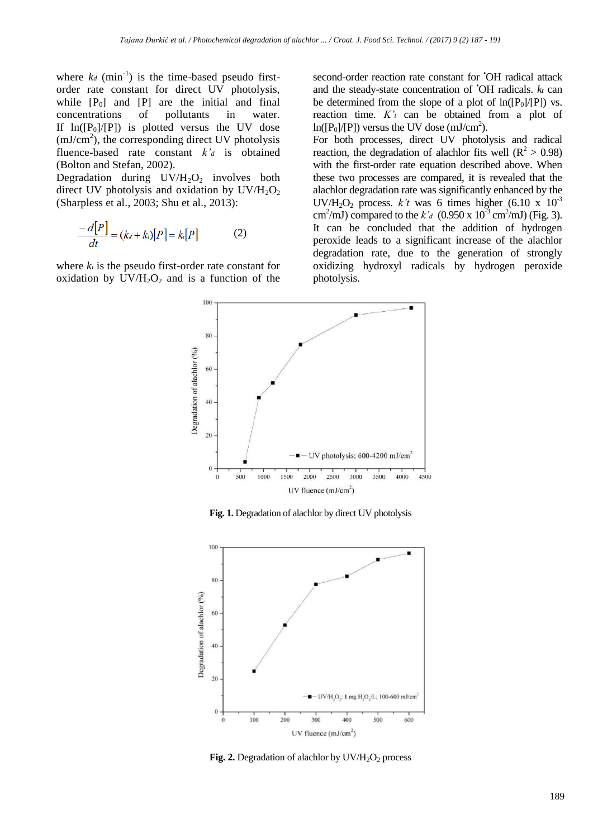where  $k_d$  (min<sup>-1</sup>) is the time-based pseudo firstorder rate constant for direct UV photolysis, while  $[P_0]$  and  $[P]$  are the initial and final concentrations of pollutants in water. concentrations If  $ln([P_0]/[P])$  is plotted versus the UV dose  $(mJ/cm<sup>2</sup>)$ , the corresponding direct UV photolysis fluence-based rate constant *k'<sup>d</sup>* is obtained (Bolton and Stefan, 2002).

Degradation during  $UV/H<sub>2</sub>O<sub>2</sub>$  involves both direct UV photolysis and oxidation by  $UV/H<sub>2</sub>O<sub>2</sub>$ (Sharpless et al., 2003; Shu et al., 2013):

$$
\frac{-d[P]}{dt} = (k_a + k_i)[P] = k[P]
$$
 (2)

where *k<sup>i</sup>* is the pseudo first-order rate constant for oxidation by  $UV/H<sub>2</sub>O<sub>2</sub>$  and is a function of the second-order reaction rate constant for  $\overline{O}$ H radical attack and the steady-state concentration of •OH radicals. *k<sup>t</sup>* can be determined from the slope of a plot of  $ln([P_0]/[P])$  vs. reaction time. *K'<sup>t</sup>* can be obtained from a plot of  $ln([P_0]/[P])$  versus the UV dose (mJ/cm<sup>2</sup>).

For both processes, direct UV photolysis and radical reaction, the degradation of alachlor fits well ( $R^2 > 0.98$ ) with the first-order rate equation described above. When these two processes are compared, it is revealed that the alachlor degradation rate was significantly enhanced by the UV/H<sub>2</sub>O<sub>2</sub> process. *k't* was 6 times higher (6.10 x  $10^{-3}$ ) cm<sup>2</sup>/mJ) compared to the *k'a* (0.950 x 10<sup>-3</sup> cm<sup>2</sup>/mJ) (Fig. 3). It can be concluded that the addition of hydrogen peroxide leads to a significant increase of the alachlor degradation rate, due to the generation of strongly oxidizing hydroxyl radicals by hydrogen peroxide photolysis.



**Fig. 1.** Degradation of alachlor by direct UV photolysis



**Fig. 2.** Degradation of alachlor by  $UV/H_2O_2$  process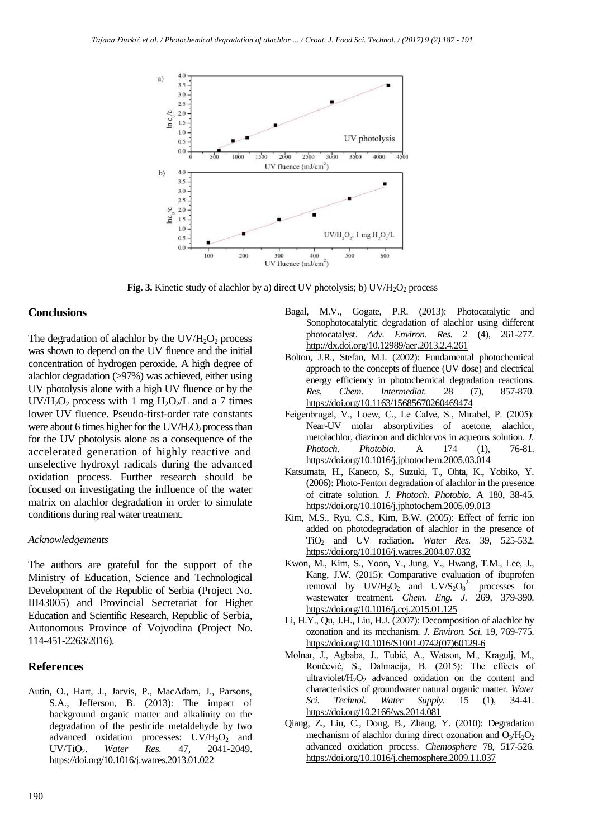

**Fig. 3.** Kinetic study of alachlor by a) direct UV photolysis; b)  $UV/H<sub>2</sub>O<sub>2</sub>$  process

### **Conclusions**

The degradation of alachlor by the  $UV/H_2O_2$  process was shown to depend on the UV fluence and the initial concentration of hydrogen peroxide. A high degree of alachlor degradation (>97%) was achieved, either using UV photolysis alone with a high UV fluence or by the  $UV/H_2O_2$  process with 1 mg  $H_2O_2/L$  and a 7 times lower UV fluence. Pseudo-first-order rate constants were about 6 times higher for the  $UV/H_2O_2$  process than for the UV photolysis alone as a consequence of the accelerated generation of highly reactive and unselective hydroxyl radicals during the advanced oxidation process. Further research should be focused on investigating the influence of the water matrix on alachlor degradation in order to simulate conditions during real water treatment.

# *Acknowledgements*

The authors are grateful for the support of the Ministry of Education, Science and Technological Development of the Republic of Serbia (Project No. III43005) and Provincial Secretariat for Higher Education and Scientific Research, Republic of Serbia, Autonomous Province of Vojvodina (Project No. 114-451-2263/2016).

# **References**

Autin, O., Hart, J., Jarvis, P., MacAdam, J., Parsons, S.A., Jefferson, B. (2013): The impact of background organic matter and alkalinity on the degradation of the pesticide metaldehyde by two advanced oxidation processes:  $UV/H<sub>2</sub>O<sub>2</sub>$  and UV/TiO<sub>2</sub>. *Water Res.* 47, 2041-2049. <https://doi.org/10.1016/j.watres.2013.01.022>

- Bagal, M.V., Gogate, P.R. (2013): Photocatalytic and Sonophotocatalytic degradation of alachlor using different photocatalyst. *Adv. Environ. Res.* 2 (4), 261-277. <http://dx.doi.org/10.12989/aer.2013.2.4.261>
- Bolton, J.R., Stefan, M.I. (2002): Fundamental photochemical approach to the concepts of fluence (UV dose) and electrical energy efficiency in photochemical degradation reactions. *Res. Chem. Intermediat.* 28 (7), 857-870. <https://doi.org/10.1163/15685670260469474>
- Feigenbrugel, V., Loew, C., Le Calvé, S., Mirabel, P. (2005): Near-UV molar absorptivities of acetone, alachlor, metolachlor, diazinon and dichlorvos in aqueous solution. *J. Photoch. Photobio.* A 174 (1), 76-81. <https://doi.org/10.1016/j.jphotochem.2005.03.014>
- Katsumata, H., Kaneco, S., Suzuki, T., Ohta, K., Yobiko, Y. (2006): Photo-Fenton degradation of alachlor in the presence of citrate solution. *J. Photoch. Photobio.* A 180, 38-45. <https://doi.org/10.1016/j.jphotochem.2005.09.013>
- Kim, M.S., Ryu, C.S., Kim, B.W. (2005): Effect of ferric ion added on photodegradation of alachlor in the presence of TiO<sup>2</sup> and UV radiation. *Water Res.* 39, 525-532. <https://doi.org/10.1016/j.watres.2004.07.032>
- Kwon, M., Kim, S., Yoon, Y., Jung, Y., Hwang, T.M., Lee, J., Kang, J.W. (2015): Comparative evaluation of ibuprofen removal by  $UV/H_2O_2$  and  $UV/S_2O_8^2$  processes for wastewater treatment. *Chem. Eng. J.* 269, 379-390. <https://doi.org/10.1016/j.cej.2015.01.125>
- Li, H.Y., Qu, J.H., Liu, H.J. (2007): Decomposition of alachlor by ozonation and its mechanism. *J. Environ. Sci.* 19, 769-775. [https://doi.org/10.1016/S1001-0742\(07\)60129-6](https://doi.org/10.1016/S1001-0742(07)60129-6)
- Molnar, J., Agbaba, J., Tubić, A., Watson, M., Kragulj, M., Rončević, S., Dalmacija, B. (2015): The effects of ultraviolet/ $H_2O_2$  advanced oxidation on the content and characteristics of groundwater natural organic matter. *Water Sci. Technol. Water Supply.* 15 (1), 34-41. <https://doi.org/10.2166/ws.2014.081>
- Qiang, Z., Liu, C., Dong, B., Zhang, Y. (2010): Degradation mechanism of alachlor during direct ozonation and  $O_3/H_2O_2$ advanced oxidation process. *Chemosphere* 78, 517-526. <https://doi.org/10.1016/j.chemosphere.2009.11.037>